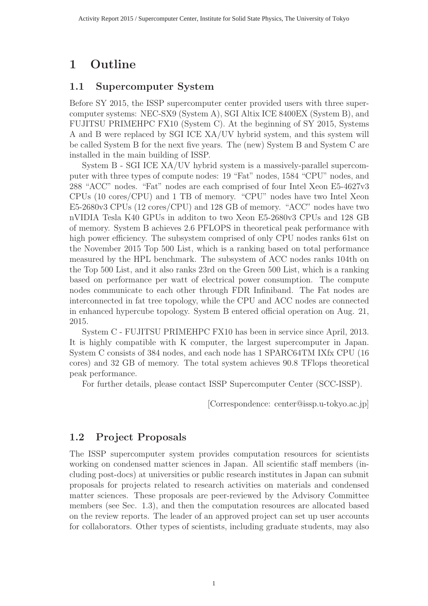# **1 Outline**

### **1.1 Supercomputer System**

Before SY 2015, the ISSP supercomputer center provided users with three supercomputer systems: NEC-SX9 (System A), SGI Altix ICE 8400EX (System B), and FUJITSU PRIMEHPC FX10 (System C). At the beginning of SY 2015, Systems A and B were replaced by SGI ICE XA/UV hybrid system, and this system will be called System B for the next five years. The (new) System B and System C are installed in the main building of ISSP.

System B - SGI ICE XA/UV hybrid system is a massively-parallel supercomputer with three types of compute nodes: 19 "Fat" nodes, 1584 "CPU" nodes, and 288 "ACC" nodes. "Fat" nodes are each comprised of four Intel Xeon E5-4627v3 CPUs (10 cores/CPU) and 1 TB of memory. "CPU" nodes have two Intel Xeon E5-2680v3 CPUs (12 cores/CPU) and 128 GB of memory. "ACC" nodes have two nVIDIA Tesla K40 GPUs in additon to two Xeon E5-2680v3 CPUs and 128 GB of memory. System B achieves 2.6 PFLOPS in theoretical peak performance with high power efficiency. The subsystem comprised of only CPU nodes ranks 61st on the November 2015 Top 500 List, which is a ranking based on total performance measured by the HPL benchmark. The subsystem of ACC nodes ranks 104th on the Top 500 List, and it also ranks 23rd on the Green 500 List, which is a ranking based on performance per watt of electrical power consumption. The compute nodes communicate to each other through FDR Infiniband. The Fat nodes are interconnected in fat tree topology, while the CPU and ACC nodes are connected in enhanced hypercube topology. System B entered official operation on Aug. 21, 2015.

System C - FUJITSU PRIMEHPC FX10 has been in service since April, 2013. It is highly compatible with K computer, the largest supercomputer in Japan. System C consists of 384 nodes, and each node has 1 SPARC64TM IXfx CPU (16 cores) and 32 GB of memory. The total system achieves 90.8 TFlops theoretical peak performance.

For further details, please contact ISSP Supercomputer Center (SCC-ISSP).

[Correspondence: center@issp.u-tokyo.ac.jp]

## **1.2 Project Proposals**

The ISSP supercomputer system provides computation resources for scientists working on condensed matter sciences in Japan. All scientific staff members (including post-docs) at universities or public research institutes in Japan can submit proposals for projects related to research activities on materials and condensed matter sciences. These proposals are peer-reviewed by the Advisory Committee members (see Sec. 1.3), and then the computation resources are allocated based on the review reports. The leader of an approved project can set up user accounts for collaborators. Other types of scientists, including graduate students, may also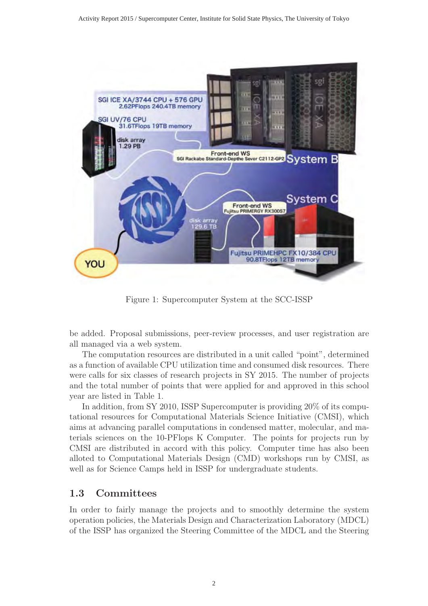

Figure 1: Supercomputer System at the SCC-ISSP

be added. Proposal submissions, peer-review processes, and user registration are all managed via a web system.

The computation resources are distributed in a unit called "point", determined as a function of available CPU utilization time and consumed disk resources. There were calls for six classes of research projects in SY 2015. The number of projects and the total number of points that were applied for and approved in this school year are listed in Table 1.

In addition, from SY 2010, ISSP Supercomputer is providing 20% of its computational resources for Computational Materials Science Initiative (CMSI), which aims at advancing parallel computations in condensed matter, molecular, and materials sciences on the 10-PFlops K Computer. The points for projects run by CMSI are distributed in accord with this policy. Computer time has also been alloted to Computational Materials Design (CMD) workshops run by CMSI, as well as for Science Camps held in ISSP for undergraduate students.

#### **1.3 Committees**

In order to fairly manage the projects and to smoothly determine the system operation policies, the Materials Design and Characterization Laboratory (MDCL) of the ISSP has organized the Steering Committee of the MDCL and the Steering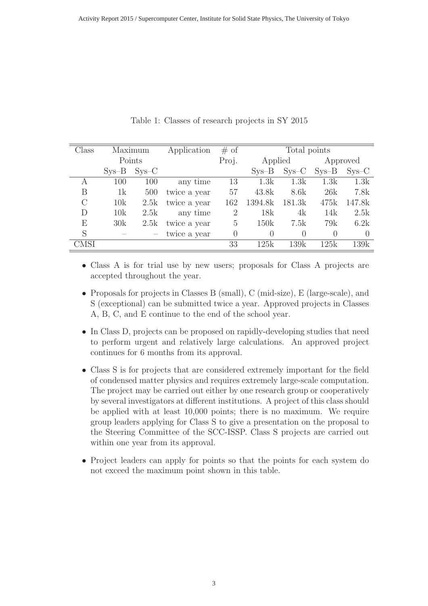| Class   | Maximum |         | Application  | # of           | Total points     |         |          |           |
|---------|---------|---------|--------------|----------------|------------------|---------|----------|-----------|
|         | Points  |         |              | Proj.          | Applied          |         |          | Approved  |
|         | $Sys-B$ | $SYS-C$ |              |                | $Sys-B$          | $SYS-C$ | $Sys-B$  | $SVS-C$   |
| A       | 100     | 100     | any time     | 13             | 1.3k             | 1.3k    | 1.3k     | 1.3k      |
| В       | 1k      | 500     | twice a year | 57             | 43.8k            | 8.6k    | 26k      | 7.8k      |
| $\rm C$ | 10k     | 2.5k    | twice a year | 162            | 1394.8k          | 181.3k  | 475k     | 147.8k    |
| D       | 10k     | 2.5k    | any time     | $\overline{2}$ | 18k              | 4k      | 14k      | 2.5k      |
| Е       | 30k     | 2.5k    | twice a year | 5              | 150k             | 7.5k    | 79k      | 6.2k      |
| S       |         |         | twice a year | $\theta$       | $\left( \right)$ | 0       | $\Omega$ | $\bigcap$ |
| CMSI    |         |         |              | 33             | 125k             | 139k    | 125k     | 139k      |

Table 1: Classes of research projects in SY 2015

- Class A is for trial use by new users; proposals for Class A projects are accepted throughout the year.
- Proposals for projects in Classes B (small), C (mid-size), E (large-scale), and S (exceptional) can be submitted twice a year. Approved projects in Classes A, B, C, and E continue to the end of the school year.
- In Class D, projects can be proposed on rapidly-developing studies that need to perform urgent and relatively large calculations. An approved project continues for 6 months from its approval.
- Class S is for projects that are considered extremely important for the field of condensed matter physics and requires extremely large-scale computation. The project may be carried out either by one research group or cooperatively by several investigators at different institutions. A project of this class should be applied with at least 10,000 points; there is no maximum. We require group leaders applying for Class S to give a presentation on the proposal to the Steering Committee of the SCC-ISSP. Class S projects are carried out within one year from its approval.
- Project leaders can apply for points so that the points for each system do not exceed the maximum point shown in this table.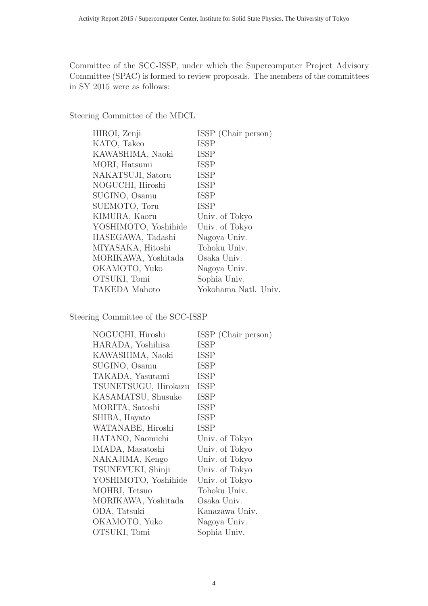Committee of the SCC-ISSP, under which the Supercomputer Project Advisory Committee (SPAC) is formed to review proposals. The members of the committees in SY 2015 were as follows:

Steering Committee of the MDCL

| HIROI, Zenji         | ISSP (Chair person)  |
|----------------------|----------------------|
| KATO, Takeo          | <b>ISSP</b>          |
| KAWASHIMA, Naoki     | <b>ISSP</b>          |
| MORI, Hatsumi        | <b>ISSP</b>          |
| NAKATSUJI, Satoru    | <b>ISSP</b>          |
| NOGUCHI, Hiroshi     | <b>ISSP</b>          |
| SUGINO, Osamu        | <b>ISSP</b>          |
| SUEMOTO, Toru        | <b>ISSP</b>          |
| KIMURA, Kaoru        | Univ. of Tokyo       |
| YOSHIMOTO, Yoshihide | Univ. of Tokyo       |
| HASEGAWA, Tadashi    | Nagoya Univ.         |
| MIYASAKA, Hitoshi    | Tohoku Univ.         |
| MORIKAWA, Yoshitada  | Osaka Univ.          |
| OKAMOTO, Yuko        | Nagoya Univ.         |
| OTSUKI, Tomi         | Sophia Univ.         |
| TAKEDA Mahoto        | Yokohama Natl. Univ. |

Steering Committee of the SCC-ISSP

| NOGUCHI, Hiroshi     | ISSP (Chair person) |
|----------------------|---------------------|
| HARADA, Yoshihisa    | <b>ISSP</b>         |
| KAWASHIMA, Naoki     | <b>ISSP</b>         |
| SUGINO, Osamu        | <b>ISSP</b>         |
| TAKADA, Yasutami     | <b>ISSP</b>         |
| TSUNETSUGU, Hirokazu | <b>ISSP</b>         |
| KASAMATSU, Shusuke   | ISSP                |
| MORITA, Satoshi      | <b>ISSP</b>         |
| SHIBA, Hayato        | <b>ISSP</b>         |
| WATANABE, Hiroshi    | <b>ISSP</b>         |
| HATANO, Naomichi     | Univ. of Tokyo      |
| IMADA, Masatoshi     | Univ. of Tokyo      |
| NAKAJIMA, Kengo      | Univ. of Tokyo      |
| TSUNEYUKI, Shinji    | Univ. of Tokyo      |
| YOSHIMOTO, Yoshihide | Univ. of Tokyo      |
| MOHRI, Tetsuo        | Tohoku Univ.        |
| MORIKAWA, Yoshitada  | Osaka Univ.         |
| ODA, Tatsuki         | Kanazawa Univ.      |
| OKAMOTO, Yuko        | Nagoya Univ.        |
| OTSUKI, Tomi         | Sophia Univ.        |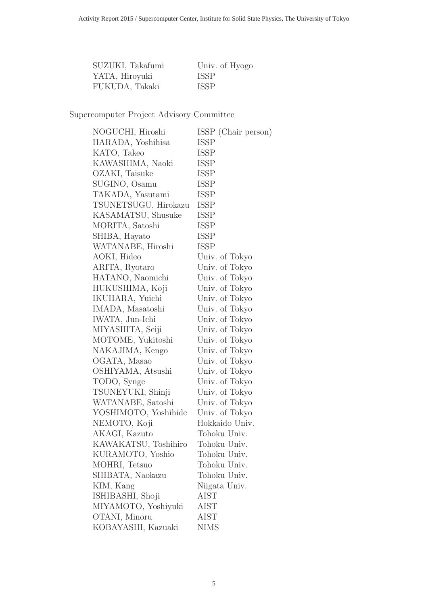| SUZUKI, Takafumi | Univ. of Hyogo |
|------------------|----------------|
| YATA, Hiroyuki   | <b>ISSP</b>    |
| FUKUDA, Takaki   | <b>ISSP</b>    |

Supercomputer Project Advisory Committee

| NOGUCHI, Hiroshi     | ISSP (Chair person) |
|----------------------|---------------------|
| HARADA, Yoshihisa    | <b>ISSP</b>         |
| KATO, Takeo          | <b>ISSP</b>         |
| KAWASHIMA, Naoki     | ISSP                |
| OZAKI, Taisuke       | <b>ISSP</b>         |
| SUGINO, Osamu        | ISSP                |
| TAKADA, Yasutami     | <b>ISSP</b>         |
| TSUNETSUGU, Hirokazu | <b>ISSP</b>         |
| KASAMATSU, Shusuke   | ISSP                |
| MORITA, Satoshi      | <b>ISSP</b>         |
| SHIBA, Hayato        | <b>ISSP</b>         |
| WATANABE, Hiroshi    | <b>ISSP</b>         |
| AOKI, Hideo          | Univ. of Tokyo      |
| ARITA, Ryotaro       | Univ. of Tokyo      |
| HATANO, Naomichi     | Univ. of Tokyo      |
| HUKUSHIMA, Koji      | Univ. of Tokyo      |
| IKUHARA, Yuichi      | Univ. of Tokyo      |
| IMADA, Masatoshi     | Univ. of Tokyo      |
| IWATA, Jun-Ichi      | Univ. of Tokyo      |
| MIYASHITA, Seiji     | Univ. of Tokyo      |
| MOTOME, Yukitoshi    | Univ. of Tokyo      |
| NAKAJIMA, Kengo      | Univ. of Tokyo      |
| OGATA, Masao         | Univ. of Tokyo      |
| OSHIYAMA, Atsushi    | Univ. of Tokyo      |
| TODO, Synge          | Univ. of Tokyo      |
| TSUNEYUKI, Shinji    | Univ. of Tokyo      |
| WATANABE, Satoshi    | Univ. of Tokyo      |
| YOSHIMOTO, Yoshihide | Univ. of Tokyo      |
| NEMOTO, Koji         | Hokkaido Univ.      |
| AKAGI, Kazuto        | Tohoku Univ.        |
| KAWAKATSU, Toshihiro | Tohoku Univ.        |
| KURAMOTO, Yoshio     | Tohoku Univ.        |
| MOHRI, Tetsuo        | Tohoku Univ.        |
| SHIBATA, Naokazu     | Tohoku Univ.        |
| KIM, Kang            | Niigata Univ.       |
| ISHIBASHI, Shoji     | <b>AIST</b>         |
| MIYAMOTO, Yoshiyuki  | AIST                |
| OTANI, Minoru        | <b>AIST</b>         |
| KOBAYASHI, Kazuaki   | <b>NIMS</b>         |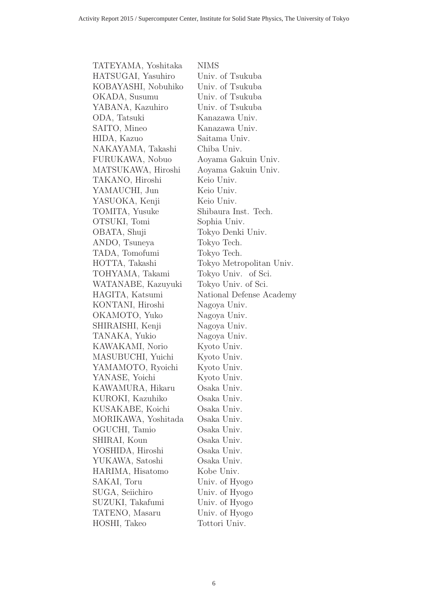| TATEYAMA, Yoshitaka | <b>NIMS</b>              |
|---------------------|--------------------------|
| HATSUGAI, Yasuhiro  | Univ. of Tsukuba         |
| KOBAYASHI, Nobuhiko | Univ. of Tsukuba         |
| OKADA, Susumu       | Univ. of Tsukuba         |
| YABANA, Kazuhiro    | Univ. of Tsukuba         |
| ODA, Tatsuki        | Kanazawa Univ.           |
| SAITO, Mineo        | Kanazawa Univ.           |
| HIDA, Kazuo         | Saitama Univ.            |
| NAKAYAMA, Takashi   | Chiba Univ.              |
| FURUKAWA, Nobuo     | Aoyama Gakuin Univ.      |
| MATSUKAWA, Hiroshi  | Aoyama Gakuin Univ.      |
| TAKANO, Hiroshi     | Keio Univ.               |
| YAMAUCHI, Jun       | Keio Univ.               |
| YASUOKA, Kenji      | Keio Univ.               |
| TOMITA, Yusuke      | Shibaura Inst. Tech.     |
| OTSUKI, Tomi        | Sophia Univ.             |
| OBATA, Shuji        | Tokyo Denki Univ.        |
| ANDO, Tsuneya       | Tokyo Tech.              |
| TADA, Tomofumi      | Tokyo Tech.              |
| HOTTA, Takashi      | Tokyo Metropolitan Univ. |
| TOHYAMA, Takami     | Tokyo Univ. of Sci.      |
| WATANABE, Kazuyuki  | Tokyo Univ. of Sci.      |
| HAGITA, Katsumi     | National Defense Academy |
| KONTANI, Hiroshi    | Nagoya Univ.             |
| OKAMOTO, Yuko       | Nagoya Univ.             |
| SHIRAISHI, Kenji    | Nagoya Univ.             |
| TANAKA, Yukio       | Nagoya Univ.             |
| KAWAKAMI, Norio     | Kyoto Univ.              |
| MASUBUCHI, Yuichi   | Kyoto Univ.              |
| YAMAMOTO, Ryoichi   | Kyoto Univ.              |
| YANASE, Yoichi      | Kyoto Univ.              |
| KAWAMURA, Hikaru    | Osaka Univ.              |
| KUROKI, Kazuhiko    | Osaka Univ.              |
| KUSAKABE, Koichi    | Osaka Univ.              |
| MORIKAWA, Yoshitada | Osaka Univ.              |
| OGUCHI, Tamio       | Osaka Univ.              |
| SHIRAI, Koun        | Osaka Univ.              |
| YOSHIDA, Hiroshi    | Osaka Univ.              |
| YUKAWA, Satoshi     | Osaka Univ.              |
| HARIMA, Hisatomo    | Kobe Univ.               |
| SAKAI, Toru         | Univ. of Hyogo           |
| SUGA, Seiichiro     | Univ. of Hyogo           |
| SUZUKI, Takafumi    | Univ. of Hyogo           |
| TATENO, Masaru      | Univ. of Hyogo           |
| HOSHI, Takeo        | Tottori Univ.            |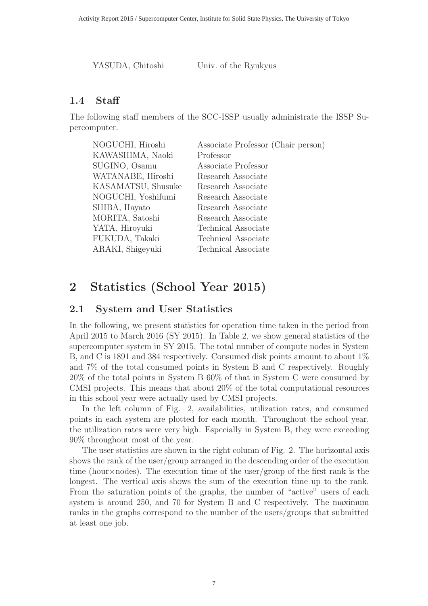YASUDA, Chitoshi Univ. of the Ryukyus

### **1.4 Staff**

The following staff members of the SCC-ISSP usually administrate the ISSP Supercomputer.

| NOGUCHI, Hiroshi   | Associate Professor (Chair person) |
|--------------------|------------------------------------|
| KAWASHIMA, Naoki   | Professor                          |
| SUGINO, Osamu      | Associate Professor                |
| WATANABE, Hiroshi  | Research Associate                 |
| KASAMATSU, Shusuke | Research Associate                 |
| NOGUCHI, Yoshifumi | Research Associate                 |
| SHIBA, Hayato      | Research Associate                 |
| MORITA, Satoshi    | Research Associate                 |
| YATA, Hiroyuki     | Technical Associate                |
| FUKUDA, Takaki     | Technical Associate                |
| ARAKI, Shigeyuki   | Technical Associate                |

# **2 Statistics (School Year 2015)**

### **2.1 System and User Statistics**

In the following, we present statistics for operation time taken in the period from April 2015 to March 2016 (SY 2015). In Table 2, we show general statistics of the supercomputer system in SY 2015. The total number of compute nodes in System B, and C is 1891 and 384 respectively. Consumed disk points amount to about 1% and 7% of the total consumed points in System B and C respectively. Roughly 20% of the total points in System B 60% of that in System C were consumed by CMSI projects. This means that about 20% of the total computational resources in this school year were actually used by CMSI projects.

In the left column of Fig. 2, availabilities, utilization rates, and consumed points in each system are plotted for each month. Throughout the school year, the utilization rates were very high. Especially in System B, they were exceeding 90% throughout most of the year.

The user statistics are shown in the right column of Fig. 2. The horizontal axis shows the rank of the user/group arranged in the descending order of the execution time (hour $\times$ nodes). The execution time of the user/group of the first rank is the longest. The vertical axis shows the sum of the execution time up to the rank. From the saturation points of the graphs, the number of "active" users of each system is around 250, and 70 for System B and C respectively. The maximum ranks in the graphs correspond to the number of the users/groups that submitted at least one job.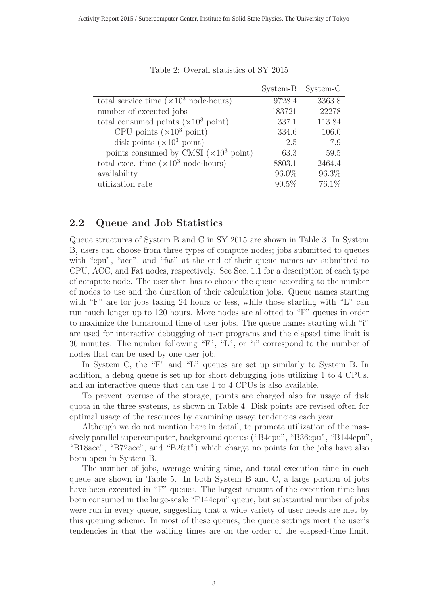|                                                       | System-B | System-C |
|-------------------------------------------------------|----------|----------|
| total service time $(\times 10^3 \text{ node-hours})$ | 9728.4   | 3363.8   |
| number of executed jobs                               | 183721   | 22278    |
| total consumed points $(\times 10^3 \text{ point})$   | 337.1    | 113.84   |
| CPU points $(\times 10^3 \text{ point})$              | 334.6    | 106.0    |
| disk points $(\times 10^3 \text{ point})$             | 2.5      | 7.9      |
| points consumed by CMSI $(\times 10^3 \text{ point})$ | 63.3     | 59.5     |
| total exec. time $(\times 10^3 \text{ node-hours})$   | 8803.1   | 2464.4   |
| availability                                          | 96.0%    | 96.3%    |
| utilization rate                                      | $90.5\%$ | 76.1%    |

Table 2: Overall statistics of SY 2015

#### **2.2 Queue and Job Statistics**

Queue structures of System B and C in SY 2015 are shown in Table 3. In System B, users can choose from three types of compute nodes; jobs submitted to queues with "cpu", "acc", and "fat" at the end of their queue names are submitted to CPU, ACC, and Fat nodes, respectively. See Sec. 1.1 for a description of each type of compute node. The user then has to choose the queue according to the number of nodes to use and the duration of their calculation jobs. Queue names starting with "F" are for jobs taking 24 hours or less, while those starting with "L" can run much longer up to 120 hours. More nodes are allotted to "F" queues in order to maximize the turnaround time of user jobs. The queue names starting with "i" are used for interactive debugging of user programs and the elapsed time limit is 30 minutes. The number following "F", "L", or "i" correspond to the number of nodes that can be used by one user job.

In System C, the "F" and "L" queues are set up similarly to System B. In addition, a debug queue is set up for short debugging jobs utilizing 1 to 4 CPUs, and an interactive queue that can use 1 to 4 CPUs is also available.

To prevent overuse of the storage, points are charged also for usage of disk quota in the three systems, as shown in Table 4. Disk points are revised often for optimal usage of the resources by examining usage tendencies each year.

Although we do not mention here in detail, to promote utilization of the massively parallel supercomputer, background queues ("B4cpu", "B36cpu", "B144cpu", "B18acc", "B72acc", and "B2fat") which charge no points for the jobs have also been open in System B.

The number of jobs, average waiting time, and total execution time in each queue are shown in Table 5. In both System B and C, a large portion of jobs have been executed in "F" queues. The largest amount of the execution time has been consumed in the large-scale "F144cpu" queue, but substantial number of jobs were run in every queue, suggesting that a wide variety of user needs are met by this queuing scheme. In most of these queues, the queue settings meet the user's tendencies in that the waiting times are on the order of the elapsed-time limit.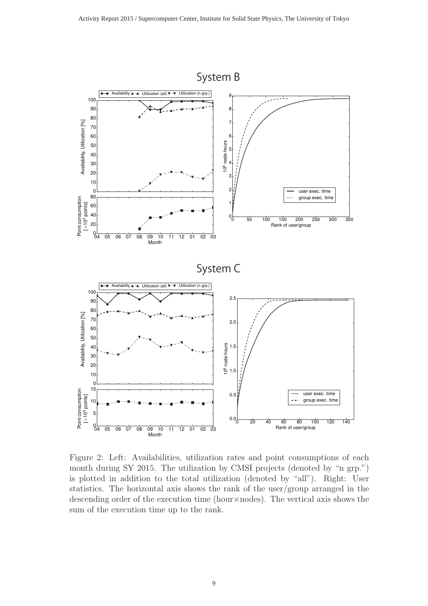

Figure 2: Left: Availabilities, utilization rates and point consumptions of each month during SY 2015. The utilization by CMSI projects (denoted by "n grp.") is plotted in addition to the total utilization (denoted by "all"). Right: User statistics. The horizontal axis shows the rank of the user/group arranged in the descending order of the execution time (hour×nodes). The vertical axis shows the sum of the execution time up to the rank.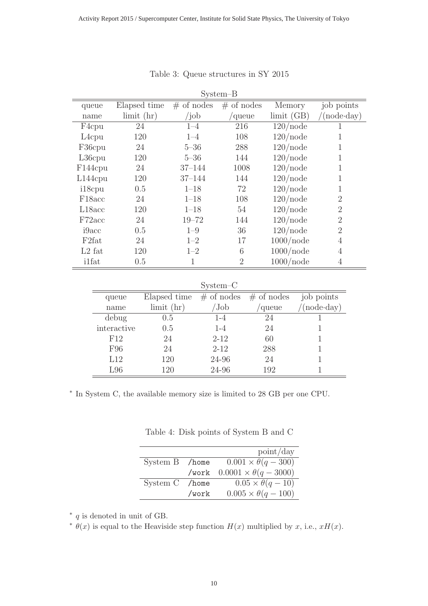| $System-B$          |                              |              |                |                     |                     |
|---------------------|------------------------------|--------------|----------------|---------------------|---------------------|
| queue               | Elapsed time                 | $#$ of nodes | $#$ of nodes   | Memory              | job points          |
| name                | $\lim$ it $\left(\ln\right)$ | $\int$ job   | /queue         | $\text{limit (GB)}$ | $(\text{node-day})$ |
| F <sub>4</sub> cpu  | 24                           | $1 - 4$      | 216            | $120$ /node         | 1                   |
| $L4$ cpu            | 120                          | $1 - 4$      | 108            | $120$ /node         | 1                   |
| F36cpu              | 24                           | $5 - 36$     | 288            | $120$ /node         | 1                   |
| $L36$ cpu           | 120                          | $5 - 36$     | 144            | $120$ /node         | 1                   |
| F144cpu             | 24                           | $37 - 144$   | 1008           | $120$ /node         | 1                   |
| $L144$ cpu          | 120                          | $37 - 144$   | 144            | $120$ /node         | 1                   |
| i18cpu              | 0.5                          | $1 - 18$     | 72             | $120$ /node         | 1                   |
| F <sub>18</sub> acc | 24                           | $1 - 18$     | 108            | $120$ /node         | $\overline{2}$      |
| L18acc              | 120                          | $1 - 18$     | 54             | $120$ /node         | $\overline{2}$      |
| F72acc              | 24                           | $19 - 72$    | 144            | $120$ /node         | $\overline{2}$      |
| i9acc               | 0.5                          | $1 - 9$      | 36             | $120$ /node         | $\overline{2}$      |
| F <sub>2</sub> fat  | 24                           | $1 - 2$      | 17             | $1000$ /node        | 4                   |
| $L2$ fat            | 120                          | $1 - 2$      | 6              | $1000$ /node        | $\overline{4}$      |
| <i>i</i> 1fat       | 0.5                          | 1            | $\overline{2}$ | 1000/node           | $\overline{4}$      |

Table 3: Queue structures in SY 2015

System–C

| queue       | Elapsed time                 | $#$ of nodes | $#$ of nodes | job points         |
|-------------|------------------------------|--------------|--------------|--------------------|
| name        | $\lim$ it $\left(\ln\right)$ | 'Job         | 'queue       | $(node \cdot day)$ |
| debug       | 0.5                          | $1 - 4$      | 24           |                    |
| interactive | 0.5                          | $1 - 4$      | 24           |                    |
| F12         | 24                           | $2 - 12$     | 60           |                    |
| F96         | 24                           | $2 - 12$     | 288          |                    |
| L12         | 120                          | 24-96        | 24           |                    |
| L96         | 120                          | 24-96        | 192          |                    |

∗ In System C, the available memory size is limited to 28 GB per one CPU.

Table 4: Disk points of System B and C

|                |          | point/day                        |
|----------------|----------|----------------------------------|
| System B /home |          | $0.001 \times \theta(q - 300)$   |
|                | /work    | $0.0001 \times \theta(q - 3000)$ |
| System C       | $/$ home | $0.05 \times \theta(q-10)$       |
|                | /work    | $0.005 \times \theta(q - 100)$   |

 $*$  q is denoted in unit of GB.

 $\overline{θ}(x)$  is equal to the Heaviside step function  $H(x)$  multiplied by x, i.e.,  $xH(x)$ .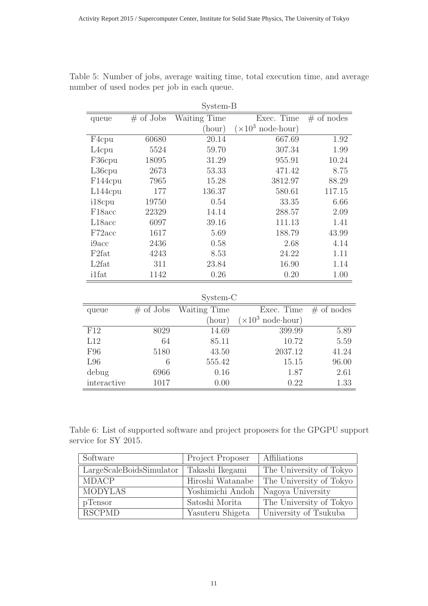| System-B             |              |              |                                   |              |  |
|----------------------|--------------|--------------|-----------------------------------|--------------|--|
| queue                | $\#$ of Jobs | Waiting Time | Exec. Time                        | $#$ of nodes |  |
|                      |              | (hour)       | $(\times 10^3 \text{ node-hour})$ |              |  |
| F <sub>4</sub> cpu   | 60680        | 20.14        | 667.69                            | 1.92         |  |
| L <sub>4</sub> cpu   | 5524         | 59.70        | 307.34                            | 1.99         |  |
| F36cpu               | 18095        | 31.29        | 955.91                            | 10.24        |  |
| L36cpu               | 2673         | 53.33        | 471.42                            | 8.75         |  |
| F <sub>144</sub> cpu | 7965         | 15.28        | 3812.97                           | 88.29        |  |
| $L144$ cpu           | 177          | 136.37       | 580.61                            | 117.15       |  |
| i18cpu               | 19750        | 0.54         | 33.35                             | 6.66         |  |
| F <sub>18</sub> acc  | 22329        | 14.14        | 288.57                            | 2.09         |  |
| L18acc               | 6097         | 39.16        | 111.13                            | 1.41         |  |
| F72acc               | 1617         | 5.69         | 188.79                            | 43.99        |  |
| i9acc                | 2436         | 0.58         | 2.68                              | 4.14         |  |
| F <sub>2</sub> fat   | 4243         | 8.53         | 24.22                             | 1.11         |  |
| L2fat                | 311          | 23.84        | 16.90                             | 1.14         |  |
| <i>i</i> 1fat        | 1142         | 0.26         | 0.20                              | 1.00         |  |

Table 5: Number of jobs, average waiting time, total execution time, and average number of used nodes per job in each queue.

System-C

| $\cup$ v $\cup$ $\cup$ |              |              |                                   |              |
|------------------------|--------------|--------------|-----------------------------------|--------------|
| queue                  | $\#$ of Jobs | Waiting Time | Exec. Time                        | $#$ of nodes |
|                        |              | (hour)       | $(\times 10^3 \text{ node-hour})$ |              |
| F12                    | 8029         | 14.69        | 399.99                            | 5.89         |
| L12                    | 64           | 85.11        | 10.72                             | 5.59         |
| F96                    | 5180         | 43.50        | 2037.12                           | 41.24        |
| L96                    | 6            | 555.42       | 15.15                             | 96.00        |
| debug                  | 6966         | 0.16         | 1.87                              | 2.61         |
| interactive            | 1017         | 0.00         | 0.22                              | 1.33         |

Table 6: List of supported software and project proposers for the GPGPU support service for SY 2015.

| Software                 | Project Proposer | Affiliations            |
|--------------------------|------------------|-------------------------|
| LargeScaleBoidsSimulator | Takashi Ikegami  | The University of Tokyo |
| <b>MDACP</b>             | Hiroshi Watanabe | The University of Tokyo |
| <b>MODYLAS</b>           | Yoshimichi Andoh | Nagoya University       |
| pTensor                  | Satoshi Morita   | The University of Tokyo |
| <b>RSCPMD</b>            | Yasuteru Shigeta | University of Tsukuba   |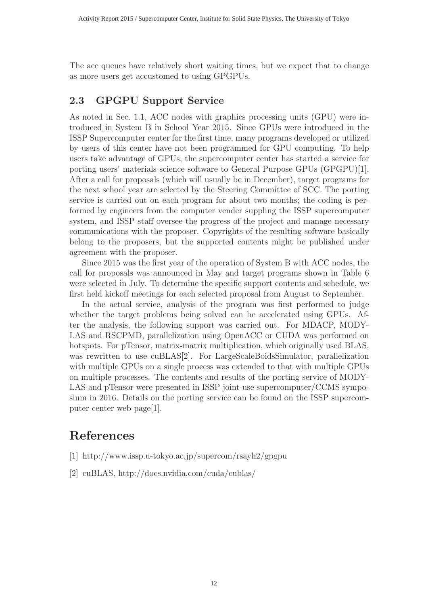The acc queues have relatively short waiting times, but we expect that to change as more users get accustomed to using GPGPUs.

#### **2.3 GPGPU Support Service**

As noted in Sec. 1.1, ACC nodes with graphics processing units (GPU) were introduced in System B in School Year 2015. Since GPUs were introduced in the ISSP Supercomputer center for the first time, many programs developed or utilized by users of this center have not been programmed for GPU computing. To help users take advantage of GPUs, the supercomputer center has started a service for porting users' materials science software to General Purpose GPUs (GPGPU)[1]. After a call for proposals (which will usually be in December), target programs for the next school year are selected by the Steering Committee of SCC. The porting service is carried out on each program for about two months; the coding is performed by engineers from the computer vender suppling the ISSP supercomputer system, and ISSP staff oversee the progress of the project and manage necessary communications with the proposer. Copyrights of the resulting software basically belong to the proposers, but the supported contents might be published under agreement with the proposer.

Since 2015 was the first year of the operation of System B with ACC nodes, the call for proposals was announced in May and target programs shown in Table 6 were selected in July. To determine the specific support contents and schedule, we first held kickoff meetings for each selected proposal from August to September.

In the actual service, analysis of the program was first performed to judge whether the target problems being solved can be accelerated using GPUs. After the analysis, the following support was carried out. For MDACP, MODY-LAS and RSCPMD, parallelization using OpenACC or CUDA was performed on hotspots. For pTensor, matrix-matrix multiplication, which originally used BLAS, was rewritten to use cuBLAS<sup>[2]</sup>. For LargeScaleBoidsSimulator, parallelization with multiple GPUs on a single process was extended to that with multiple GPUs on multiple processes. The contents and results of the porting service of MODY-LAS and pTensor were presented in ISSP joint-use supercomputer/CCMS symposium in 2016. Details on the porting service can be found on the ISSP supercomputer center web page[1].

## **References**

- [1] http://www.issp.u-tokyo.ac.jp/supercom/rsayh2/gpgpu
- [2] cuBLAS, http://docs.nvidia.com/cuda/cublas/